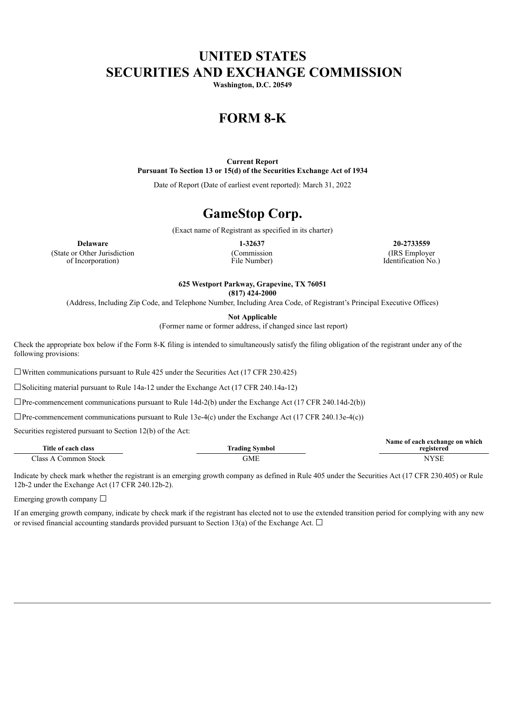## **UNITED STATES SECURITIES AND EXCHANGE COMMISSION**

**Washington, D.C. 20549**

# **FORM 8-K**

**Current Report Pursuant To Section 13 or 15(d) of the Securities Exchange Act of 1934**

Date of Report (Date of earliest event reported): March 31, 2022

## **GameStop Corp.**

(Exact name of Registrant as specified in its charter)

(State or Other Jurisdiction of Incorporation)

(Commission File Number)

**Delaware 1-32637 20-2733559** (IRS Employer Identification No.)

**625 Westport Parkway, Grapevine, TX 76051**

**(817) 424-2000**

(Address, Including Zip Code, and Telephone Number, Including Area Code, of Registrant's Principal Executive Offices)

**Not Applicable**

(Former name or former address, if changed since last report)

Check the appropriate box below if the Form 8-K filing is intended to simultaneously satisfy the filing obligation of the registrant under any of the following provisions:

 $\Box$ Written communications pursuant to Rule 425 under the Securities Act (17 CFR 230.425)

☐Soliciting material pursuant to Rule 14a-12 under the Exchange Act (17 CFR 240.14a-12)

 $\Box$ Pre-commencement communications pursuant to Rule 14d-2(b) under the Exchange Act (17 CFR 240.14d-2(b))

 $\Box$ Pre-commencement communications pursuant to Rule 13e-4(c) under the Exchange Act (17 CFR 240.13e-4(c))

Securities registered pursuant to Section 12(b) of the Act:

| Title of each class       | Irading Symbol | Name of each exchange on which<br>registered |
|---------------------------|----------------|----------------------------------------------|
| Class A<br>. Common Stock | GME            | <b>NYSE</b>                                  |

Indicate by check mark whether the registrant is an emerging growth company as defined in Rule 405 under the Securities Act (17 CFR 230.405) or Rule 12b-2 under the Exchange Act (17 CFR 240.12b-2).

Emerging growth company  $\Box$ 

If an emerging growth company, indicate by check mark if the registrant has elected not to use the extended transition period for complying with any new or revised financial accounting standards provided pursuant to Section 13(a) of the Exchange Act.  $\Box$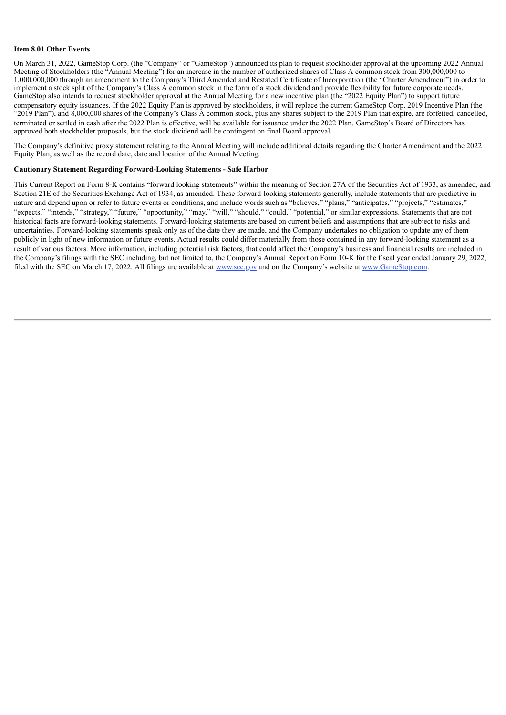#### **Item 8.01 Other Events**

On March 31, 2022, GameStop Corp. (the "Company" or "GameStop") announced its plan to request stockholder approval at the upcoming 2022 Annual Meeting of Stockholders (the "Annual Meeting") for an increase in the number of authorized shares of Class A common stock from 300,000,000 to 1,000,000,000 through an amendment to the Company's Third Amended and Restated Certificate of Incorporation (the "Charter Amendment") in order to implement a stock split of the Company's Class A common stock in the form of a stock dividend and provide flexibility for future corporate needs. GameStop also intends to request stockholder approval at the Annual Meeting for a new incentive plan (the "2022 Equity Plan") to support future compensatory equity issuances. If the 2022 Equity Plan is approved by stockholders, it will replace the current GameStop Corp. 2019 Incentive Plan (the "2019 Plan"), and 8,000,000 shares of the Company's Class A common stock, plus any shares subject to the 2019 Plan that expire, are forfeited, cancelled, terminated or settled in cash after the 2022 Plan is effective, will be available for issuance under the 2022 Plan. GameStop's Board of Directors has approved both stockholder proposals, but the stock dividend will be contingent on final Board approval.

The Company's definitive proxy statement relating to the Annual Meeting will include additional details regarding the Charter Amendment and the 2022 Equity Plan, as well as the record date, date and location of the Annual Meeting.

#### **Cautionary Statement Regarding Forward-Looking Statements - Safe Harbor**

This Current Report on Form 8-K contains "forward looking statements" within the meaning of Section 27A of the Securities Act of 1933, as amended, and Section 21E of the Securities Exchange Act of 1934, as amended. These forward-looking statements generally, include statements that are predictive in nature and depend upon or refer to future events or conditions, and include words such as "believes," "plans," "anticipates," "projects," "estimates," "expects," "intends," "strategy," "future," "opportunity," "may," "will," "should," "could," "potential," or similar expressions. Statements that are not historical facts are forward-looking statements. Forward-looking statements are based on current beliefs and assumptions that are subject to risks and uncertainties. Forward-looking statements speak only as of the date they are made, and the Company undertakes no obligation to update any of them publicly in light of new information or future events. Actual results could differ materially from those contained in any forward-looking statement as a result of various factors. More information, including potential risk factors, that could affect the Company's business and financial results are included in the Company's filings with the SEC including, but not limited to, the Company's Annual Report on Form 10-K for the fiscal year ended January 29, 2022, filed with the SEC on March 17, 2022. All filings are available at www.sec.gov and on the Company's website at www.GameStop.com.